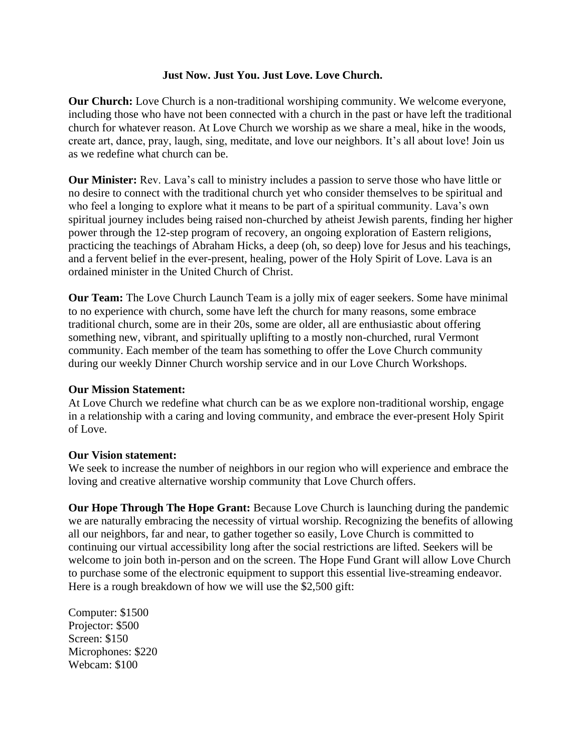## **Just Now. Just You. Just Love. Love Church.**

**Our Church:** Love Church is a non-traditional worshiping community. We welcome everyone, including those who have not been connected with a church in the past or have left the traditional church for whatever reason. At Love Church we worship as we share a meal, hike in the woods, create art, dance, pray, laugh, sing, meditate, and love our neighbors. It's all about love! Join us as we redefine what church can be.

**Our Minister:** Rev. Lava's call to ministry includes a passion to serve those who have little or no desire to connect with the traditional church yet who consider themselves to be spiritual and who feel a longing to explore what it means to be part of a spiritual community. Lava's own spiritual journey includes being raised non-churched by atheist Jewish parents, finding her higher power through the 12-step program of recovery, an ongoing exploration of Eastern religions, practicing the teachings of Abraham Hicks, a deep (oh, so deep) love for Jesus and his teachings, and a fervent belief in the ever-present, healing, power of the Holy Spirit of Love. Lava is an ordained minister in the United Church of Christ.

**Our Team:** The Love Church Launch Team is a jolly mix of eager seekers. Some have minimal to no experience with church, some have left the church for many reasons, some embrace traditional church, some are in their 20s, some are older, all are enthusiastic about offering something new, vibrant, and spiritually uplifting to a mostly non-churched, rural Vermont community. Each member of the team has something to offer the Love Church community during our weekly Dinner Church worship service and in our Love Church Workshops.

## **Our Mission Statement:**

At Love Church we redefine what church can be as we explore non-traditional worship, engage in a relationship with a caring and loving community, and embrace the ever-present Holy Spirit of Love.

## **Our Vision statement:**

We seek to increase the number of neighbors in our region who will experience and embrace the loving and creative alternative worship community that Love Church offers.

**Our Hope Through The Hope Grant:** Because Love Church is launching during the pandemic we are naturally embracing the necessity of virtual worship. Recognizing the benefits of allowing all our neighbors, far and near, to gather together so easily, Love Church is committed to continuing our virtual accessibility long after the social restrictions are lifted. Seekers will be welcome to join both in-person and on the screen. The Hope Fund Grant will allow Love Church to purchase some of the electronic equipment to support this essential live-streaming endeavor. Here is a rough breakdown of how we will use the \$2,500 gift:

Computer: \$1500 Projector: \$500 Screen: \$150 Microphones: \$220 Webcam: \$100